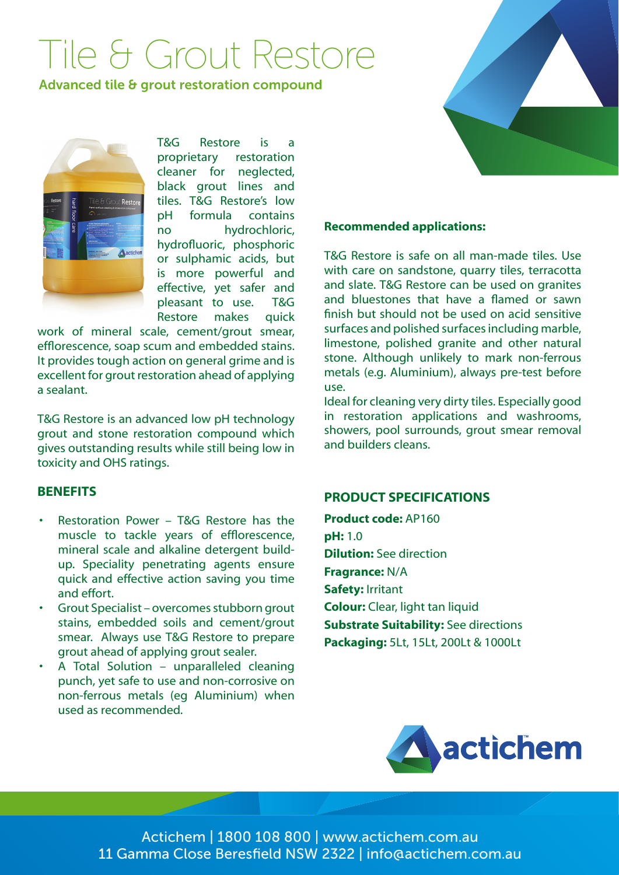# Tile & Grout Restore

Advanced tile & grout restoration compound



T&G Restore is a proprietary restoration cleaner for neglected, black grout lines and tiles. T&G Restore's low pH formula contains no hydrochloric, hydrofluoric, phosphoric or sulphamic acids, but is more powerful and effective, yet safer and pleasant to use. T&G Restore makes quick

work of mineral scale, cement/grout smear, efflorescence, soap scum and embedded stains. It provides tough action on general grime and is excellent for grout restoration ahead of applying a sealant.

T&G Restore is an advanced low pH technology grout and stone restoration compound which gives outstanding results while still being low in toxicity and OHS ratings.

## **BENEFITS**

- Restoration Power T&G Restore has the muscle to tackle years of efflorescence, mineral scale and alkaline detergent buildup. Speciality penetrating agents ensure quick and effective action saving you time and effort.
- Grout Specialist overcomes stubborn grout stains, embedded soils and cement/grout smear. Always use T&G Restore to prepare grout ahead of applying grout sealer.
- A Total Solution unparalleled cleaning punch, yet safe to use and non-corrosive on non-ferrous metals (eg Aluminium) when used as recommended.



#### **Recommended applications:**

T&G Restore is safe on all man-made tiles. Use with care on sandstone, quarry tiles, terracotta and slate. T&G Restore can be used on granites and bluestones that have a flamed or sawn finish but should not be used on acid sensitive surfaces and polished surfaces including marble, limestone, polished granite and other natural stone. Although unlikely to mark non-ferrous metals (e.g. Aluminium), always pre-test before use.

Ideal for cleaning very dirty tiles. Especially good in restoration applications and washrooms, showers, pool surrounds, grout smear removal and builders cleans.

## **PRODUCT SPECIFICATIONS**

**Product code:** AP160 **pH:** 1.0 **Dilution:** See direction **Fragrance:** N/A **Safety:** Irritant **Colour:** Clear, light tan liquid **Substrate Suitability:** See directions **Packaging:** 5Lt, 15Lt, 200Lt & 1000Lt



Actichem | 1800 108 800 | www.actichem.com.au 11 Gamma Close Beresfield NSW 2322 | info@actichem.com.au